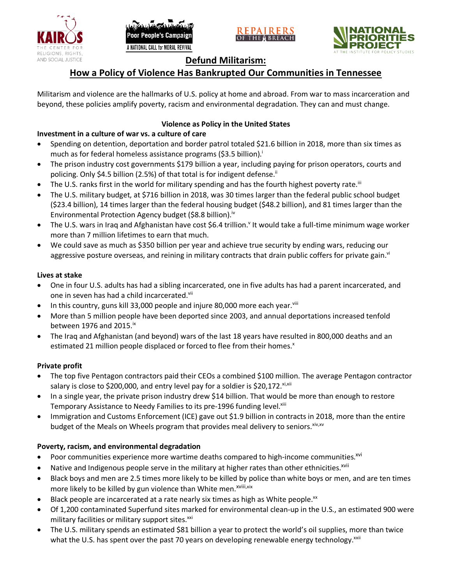





# **Defund Militarism:**

# **How a Policy of Violence Has Bankrupted Our Communities in Tennessee**

Militarism and violence are the hallmarks of U.S. policy at home and abroad. From war to mass incarceration and beyond, these policies amplify poverty, racism and environmental degradation. They can and must change.

## **Violence as Policy in the United States**

# **Investment in a culture of war vs. a culture of care**

- Spending on detention, deportation and border patrol totaled \$21.6 billion in 2018, more than six times as much as for federal homeless assistance programs (\$3.5 billion).<sup>i</sup>
- The prison industry cost governments \$179 billion a year, including paying for prison operators, courts and policing. Only \$4.5 billion (2.5%) of that total is for indigent defense.<sup>ii</sup>
- The U.S. ranks first in the world for military spending and has the fourth highest poverty rate.<sup>iii</sup>
- The U.S. military budget, at \$716 billion in 2018, was 30 times larger than the federal public school budget (\$23.4 billion), 14 times larger than the federal housing budget (\$48.2 billion), and 81 times larger than the Environmental Protection Agency budget (\$8.8 billion).<sup>iv</sup>
- The U.S. wars in Iraq and Afghanistan have cost \$6.4 trillion.<sup>v</sup> It would take a full-time minimum wage worker more than 7 million lifetimes to earn that much.
- We could save as much as \$350 billion per year and achieve true security by ending wars, reducing our aggressive posture overseas, and reining in military contracts that drain public coffers for private gain.<sup>vi</sup>

### **Lives at stake**

- One in four U.S. adults has had a sibling incarcerated, one in five adults has had a parent incarcerated, and one in seven has had a child incarcerated.vii
- In this country, guns kill 33,000 people and injure 80,000 more each year. $v_{\text{lin}}$
- More than 5 million people have been deported since 2003, and annual deportations increased tenfold between 1976 and 2015. $\mathrm{i}$ <sup>x</sup>
- The Iraq and Afghanistan (and beyond) wars of the last 18 years have resulted in 800,000 deaths and an estimated 21 million people displaced or forced to flee from their homes.<sup>x</sup>

#### **Private profit**

- The top five Pentagon contractors paid their CEOs a combined \$100 million. The average Pentagon contractor salary is close to \$200,000, and entry level pay for a soldier is \$20,172. xi,xii
- In a single year, the private prison industry drew \$14 billion. That would be more than enough to restore Temporary Assistance to Needy Families to its pre-1996 funding level.<sup>xiii</sup>
- Immigration and Customs Enforcement (ICE) gave out \$1.9 billion in contracts in 2018, more than the entire budget of the Meals on Wheels program that provides meal delivery to seniors. Xiv, XV

## **Poverty, racism, and environmental degradation**

- Poor communities experience more wartime deaths compared to high-income communities.<sup>xvi</sup>
- Native and Indigenous people serve in the military at higher rates than other ethnicities.<sup>xvii</sup>
- Black boys and men are 2.5 times more likely to be killed by police than white boys or men, and are ten times more likely to be killed by gun violence than White men.<sup>xviii,xix</sup>
- Black people are incarcerated at a rate nearly six times as high as White people.<sup>xx</sup>
- Of 1,200 contaminated Superfund sites marked for environmental clean-up in the U.S., an estimated 900 were military facilities or military support sites.<sup>xxi</sup>
- The U.S. military spends an estimated \$81 billion a year to protect the world's oil supplies, more than twice what the U.S. has spent over the past 70 years on developing renewable energy technology.<sup>xxii</sup>